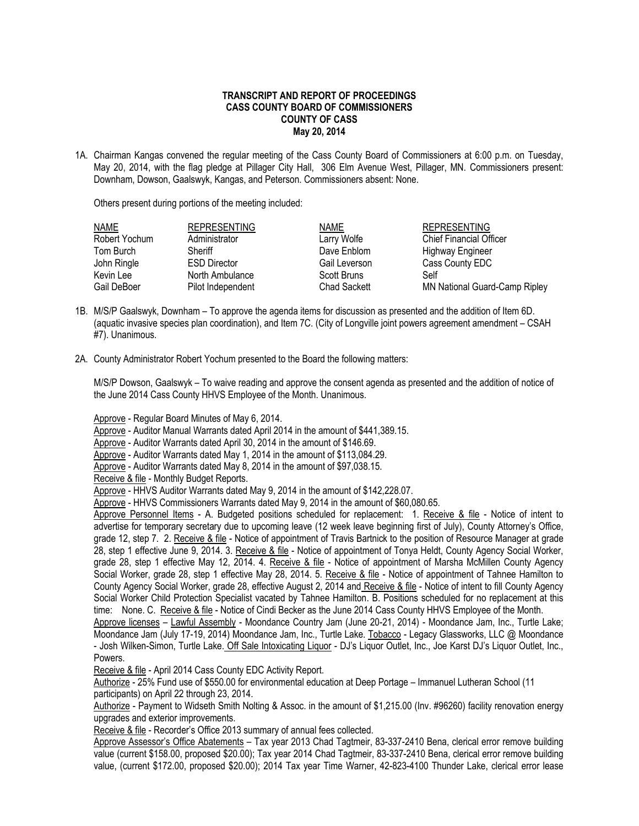## **TRANSCRIPT AND REPORT OF PROCEEDINGS CASS COUNTY BOARD OF COMMISSIONERS COUNTY OF CASS May 20, 2014**

1A. Chairman Kangas convened the regular meeting of the Cass County Board of Commissioners at 6:00 p.m. on Tuesday, May 20, 2014, with the flag pledge at Pillager City Hall, 306 Elm Avenue West, Pillager, MN. Commissioners present: Downham, Dowson, Gaalswyk, Kangas, and Peterson. Commissioners absent: None.

Others present during portions of the meeting included:

| <b>NAME</b>   | <b>REPRESENTING</b> | <b>NAME</b>         | <b>REPRESENTING</b>            |
|---------------|---------------------|---------------------|--------------------------------|
| Robert Yochum | Administrator       | Larry Wolfe         | <b>Chief Financial Officer</b> |
| Tom Burch     | Sheriff             | Dave Enblom         | <b>Highway Engineer</b>        |
| John Ringle   | <b>ESD Director</b> | Gail Leverson       | Cass County EDC                |
| Kevin Lee     | North Ambulance     | Scott Bruns         | Self                           |
| Gail DeBoer   | Pilot Independent   | <b>Chad Sackett</b> | MN National Guard-Camp Ripley  |

- 1B. M/S/P Gaalswyk, Downham To approve the agenda items for discussion as presented and the addition of Item 6D. (aquatic invasive species plan coordination), and Item 7C. (City of Longville joint powers agreement amendment – CSAH #7). Unanimous.
- 2A. County Administrator Robert Yochum presented to the Board the following matters:

M/S/P Dowson, Gaalswyk – To waive reading and approve the consent agenda as presented and the addition of notice of the June 2014 Cass County HHVS Employee of the Month. Unanimous.

Approve - Regular Board Minutes of May 6, 2014.

Approve - Auditor Manual Warrants dated April 2014 in the amount of \$441,389.15.

Approve - Auditor Warrants dated April 30, 2014 in the amount of \$146.69.

Approve - Auditor Warrants dated May 1, 2014 in the amount of \$113,084.29.

Approve - Auditor Warrants dated May 8, 2014 in the amount of \$97,038.15.

Receive & file - Monthly Budget Reports.

Approve - HHVS Auditor Warrants dated May 9, 2014 in the amount of \$142,228.07.

Approve - HHVS Commissioners Warrants dated May 9, 2014 in the amount of \$60,080.65.

Approve Personnel Items - A. Budgeted positions scheduled for replacement: 1. Receive & file - Notice of intent to advertise for temporary secretary due to upcoming leave (12 week leave beginning first of July), County Attorney's Office, grade 12, step 7. 2. Receive & file - Notice of appointment of Travis Bartnick to the position of Resource Manager at grade 28, step 1 effective June 9, 2014. 3. Receive & file - Notice of appointment of Tonya Heldt, County Agency Social Worker, grade 28, step 1 effective May 12, 2014. 4. Receive & file - Notice of appointment of Marsha McMillen County Agency Social Worker, grade 28, step 1 effective May 28, 2014. 5. Receive & file - Notice of appointment of Tahnee Hamilton to County Agency Social Worker, grade 28, effective August 2, 2014 and Receive & file - Notice of intent to fill County Agency Social Worker Child Protection Specialist vacated by Tahnee Hamilton. B. Positions scheduled for no replacement at this time: None. C. Receive & file - Notice of Cindi Becker as the June 2014 Cass County HHVS Employee of the Month.

Approve licenses – Lawful Assembly - Moondance Country Jam (June 20-21, 2014) - Moondance Jam, Inc., Turtle Lake; Moondance Jam (July 17-19, 2014) Moondance Jam, Inc., Turtle Lake. Tobacco - Legacy Glassworks, LLC @ Moondance - Josh Wilken-Simon, Turtle Lake. Off Sale Intoxicating Liquor - DJ's Liquor Outlet, Inc., Joe Karst DJ's Liquor Outlet, Inc., Powers.

Receive & file - April 2014 Cass County EDC Activity Report.

Authorize - 25% Fund use of \$550.00 for environmental education at Deep Portage – Immanuel Lutheran School (11 participants) on April 22 through 23, 2014.

Authorize - Payment to Widseth Smith Nolting & Assoc. in the amount of \$1,215.00 (Inv. #96260) facility renovation energy upgrades and exterior improvements.

Receive & file - Recorder's Office 2013 summary of annual fees collected.

Approve Assessor's Office Abatements – Tax year 2013 Chad Tagtmeir, 83-337-2410 Bena, clerical error remove building value (current \$158.00, proposed \$20.00); Tax year 2014 Chad Tagtmeir, 83-337-2410 Bena, clerical error remove building value, (current \$172.00, proposed \$20.00); 2014 Tax year Time Warner, 42-823-4100 Thunder Lake, clerical error lease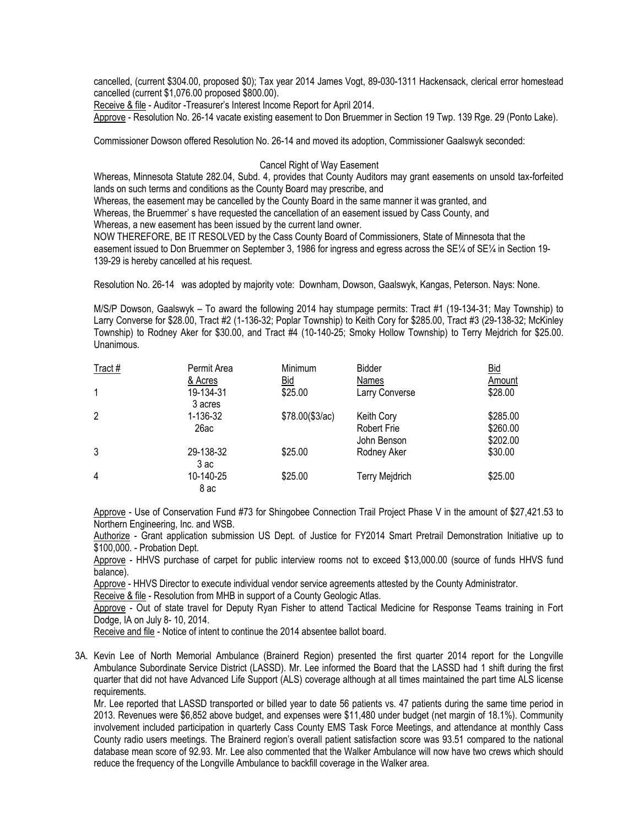cancelled, (current \$304.00, proposed \$0); Tax year 2014 James Vogt, 89-030-1311 Hackensack, clerical error homestead cancelled (current \$1,076.00 proposed \$800.00).

Receive & file - Auditor -Treasurer's Interest Income Report for April 2014.

Approve - Resolution No. 26-14 vacate existing easement to Don Bruemmer in Section 19 Twp. 139 Rge. 29 (Ponto Lake).

Commissioner Dowson offered Resolution No. 26-14 and moved its adoption, Commissioner Gaalswyk seconded:

## Cancel Right of Way Easement

Whereas, Minnesota Statute 282.04, Subd. 4, provides that County Auditors may grant easements on unsold tax-forfeited lands on such terms and conditions as the County Board may prescribe, and

Whereas, the easement may be cancelled by the County Board in the same manner it was granted, and

Whereas, the Bruemmer' s have requested the cancellation of an easement issued by Cass County, and

Whereas, a new easement has been issued by the current land owner.

NOW THEREFORE, BE IT RESOLVED by the Cass County Board of Commissioners, State of Minnesota that the easement issued to Don Bruemmer on September 3, 1986 for ingress and egress across the SE¼ of SE¼ in Section 19- 139-29 is hereby cancelled at his request.

Resolution No. 26-14 was adopted by majority vote: Downham, Dowson, Gaalswyk, Kangas, Peterson. Nays: None.

M/S/P Dowson, Gaalswyk – To award the following 2014 hay stumpage permits: Tract #1 (19-134-31; May Township) to Larry Converse for \$28.00, Tract #2 (1-136-32; Poplar Township) to Keith Cory for \$285.00, Tract #3 (29-138-32; McKinley Township) to Rodney Aker for \$30.00, and Tract #4 (10-140-25; Smoky Hollow Township) to Terry Mejdrich for \$25.00. Unanimous.

| Tract#       | Permit Area          | Minimum          | <b>Bidder</b>                                   | <u>Bid</u>                       |
|--------------|----------------------|------------------|-------------------------------------------------|----------------------------------|
|              | & Acres              | Bid              | Names                                           | Amount                           |
| $\mathbf{1}$ | 19-134-31<br>3 acres | \$25.00          | Larry Converse                                  | \$28.00                          |
| 2            | 1-136-32<br>26ac     | \$78.00 (\$3/ac) | Keith Cory<br><b>Robert Frie</b><br>John Benson | \$285.00<br>\$260.00<br>\$202.00 |
| 3            | 29-138-32<br>3 ac    | \$25.00          | Rodney Aker                                     | \$30.00                          |
| 4            | 10-140-25<br>8 ac    | \$25.00          | <b>Terry Mejdrich</b>                           | \$25.00                          |

Approve - Use of Conservation Fund #73 for Shingobee Connection Trail Project Phase V in the amount of \$27,421.53 to Northern Engineering, Inc. and WSB.

Authorize - Grant application submission US Dept. of Justice for FY2014 Smart Pretrail Demonstration Initiative up to \$100,000. - Probation Dept.

Approve - HHVS purchase of carpet for public interview rooms not to exceed \$13,000.00 (source of funds HHVS fund balance).

Approve - HHVS Director to execute individual vendor service agreements attested by the County Administrator.

Receive & file - Resolution from MHB in support of a County Geologic Atlas.

Approve - Out of state travel for Deputy Ryan Fisher to attend Tactical Medicine for Response Teams training in Fort Dodge, IA on July 8- 10, 2014.

Receive and file - Notice of intent to continue the 2014 absentee ballot board.

3A. Kevin Lee of North Memorial Ambulance (Brainerd Region) presented the first quarter 2014 report for the Longville Ambulance Subordinate Service District (LASSD). Mr. Lee informed the Board that the LASSD had 1 shift during the first quarter that did not have Advanced Life Support (ALS) coverage although at all times maintained the part time ALS license requirements.

Mr. Lee reported that LASSD transported or billed year to date 56 patients vs. 47 patients during the same time period in 2013. Revenues were \$6,852 above budget, and expenses were \$11,480 under budget (net margin of 18.1%). Community involvement included participation in quarterly Cass County EMS Task Force Meetings, and attendance at monthly Cass County radio users meetings. The Brainerd region's overall patient satisfaction score was 93.51 compared to the national database mean score of 92.93. Mr. Lee also commented that the Walker Ambulance will now have two crews which should reduce the frequency of the Longville Ambulance to backfill coverage in the Walker area.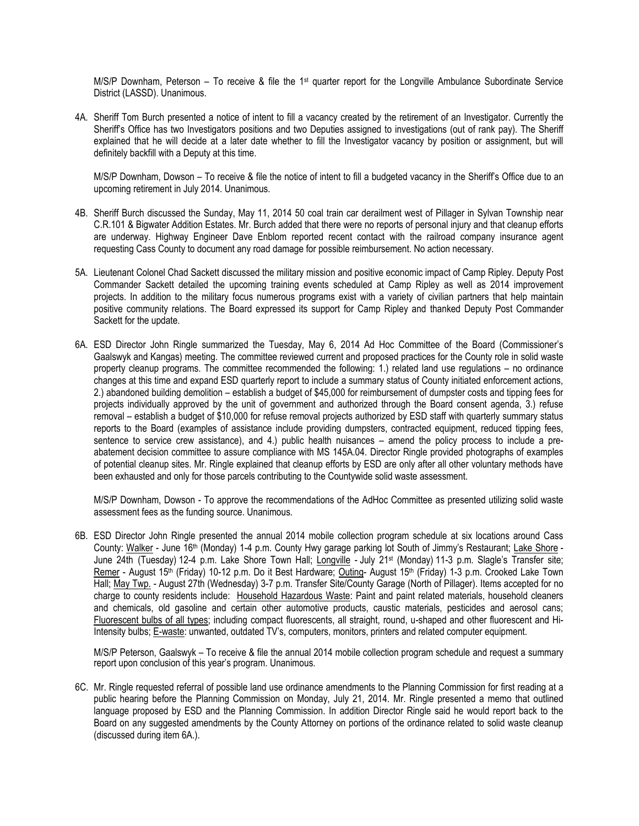M/S/P Downham, Peterson – To receive & file the 1st quarter report for the Longville Ambulance Subordinate Service District (LASSD). Unanimous.

4A. Sheriff Tom Burch presented a notice of intent to fill a vacancy created by the retirement of an Investigator. Currently the Sheriff's Office has two Investigators positions and two Deputies assigned to investigations (out of rank pay). The Sheriff explained that he will decide at a later date whether to fill the Investigator vacancy by position or assignment, but will definitely backfill with a Deputy at this time.

M/S/P Downham, Dowson – To receive & file the notice of intent to fill a budgeted vacancy in the Sheriff's Office due to an upcoming retirement in July 2014. Unanimous.

- 4B. Sheriff Burch discussed the Sunday, May 11, 2014 50 coal train car derailment west of Pillager in Sylvan Township near C.R.101 & Bigwater Addition Estates. Mr. Burch added that there were no reports of personal injury and that cleanup efforts are underway. Highway Engineer Dave Enblom reported recent contact with the railroad company insurance agent requesting Cass County to document any road damage for possible reimbursement. No action necessary.
- 5A. Lieutenant Colonel Chad Sackett discussed the military mission and positive economic impact of Camp Ripley. Deputy Post Commander Sackett detailed the upcoming training events scheduled at Camp Ripley as well as 2014 improvement projects. In addition to the military focus numerous programs exist with a variety of civilian partners that help maintain positive community relations. The Board expressed its support for Camp Ripley and thanked Deputy Post Commander Sackett for the update.
- 6A. ESD Director John Ringle summarized the Tuesday, May 6, 2014 Ad Hoc Committee of the Board (Commissioner's Gaalswyk and Kangas) meeting. The committee reviewed current and proposed practices for the County role in solid waste property cleanup programs. The committee recommended the following: 1.) related land use regulations – no ordinance changes at this time and expand ESD quarterly report to include a summary status of County initiated enforcement actions, 2.) abandoned building demolition – establish a budget of \$45,000 for reimbursement of dumpster costs and tipping fees for projects individually approved by the unit of government and authorized through the Board consent agenda, 3.) refuse removal – establish a budget of \$10,000 for refuse removal projects authorized by ESD staff with quarterly summary status reports to the Board (examples of assistance include providing dumpsters, contracted equipment, reduced tipping fees, sentence to service crew assistance), and 4.) public health nuisances – amend the policy process to include a preabatement decision committee to assure compliance with MS 145A.04. Director Ringle provided photographs of examples of potential cleanup sites. Mr. Ringle explained that cleanup efforts by ESD are only after all other voluntary methods have been exhausted and only for those parcels contributing to the Countywide solid waste assessment.

M/S/P Downham, Dowson - To approve the recommendations of the AdHoc Committee as presented utilizing solid waste assessment fees as the funding source. Unanimous.

6B. ESD Director John Ringle presented the annual 2014 mobile collection program schedule at six locations around Cass County: Walker - June 16th (Monday) 1-4 p.m. County Hwy garage parking lot South of Jimmy's Restaurant; Lake Shore - June 24th (Tuesday) 12-4 p.m. Lake Shore Town Hall; Longville - July 21<sup>st</sup> (Monday) 11-3 p.m. Slagle's Transfer site; Remer - August 15<sup>th</sup> (Friday) 10-12 p.m. Do it Best Hardware; Outing- August 15<sup>th</sup> (Friday) 1-3 p.m. Crooked Lake Town Hall; May Twp. - August 27th (Wednesday) 3-7 p.m. Transfer Site/County Garage (North of Pillager). Items accepted for no charge to county residents include: Household Hazardous Waste: Paint and paint related materials, household cleaners and chemicals, old gasoline and certain other automotive products, caustic materials, pesticides and aerosol cans; Fluorescent bulbs of all types; including compact fluorescents, all straight, round, u-shaped and other fluorescent and Hi-Intensity bulbs; E-waste: unwanted, outdated TV's, computers, monitors, printers and related computer equipment.

M/S/P Peterson, Gaalswyk – To receive & file the annual 2014 mobile collection program schedule and request a summary report upon conclusion of this year's program. Unanimous.

6C. Mr. Ringle requested referral of possible land use ordinance amendments to the Planning Commission for first reading at a public hearing before the Planning Commission on Monday, July 21, 2014. Mr. Ringle presented a memo that outlined language proposed by ESD and the Planning Commission. In addition Director Ringle said he would report back to the Board on any suggested amendments by the County Attorney on portions of the ordinance related to solid waste cleanup (discussed during item 6A.).